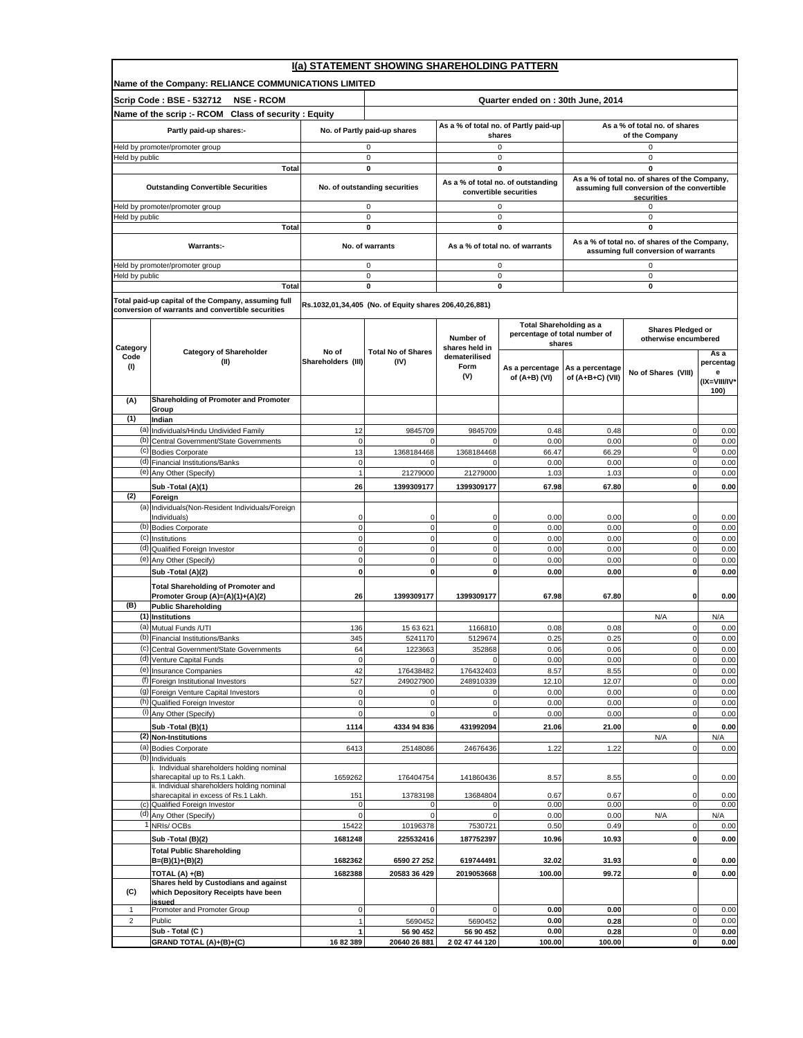|                         | I(a) STATEMENT SHOWING SHAREHOLDING PATTERN                                                              |                                |                                                        |                                                 |                                                              |                                                 |                                                                                       |                   |  |
|-------------------------|----------------------------------------------------------------------------------------------------------|--------------------------------|--------------------------------------------------------|-------------------------------------------------|--------------------------------------------------------------|-------------------------------------------------|---------------------------------------------------------------------------------------|-------------------|--|
|                         | Name of the Company: RELIANCE COMMUNICATIONS LIMITED                                                     |                                |                                                        |                                                 |                                                              |                                                 |                                                                                       |                   |  |
|                         | Scrip Code: BSE - 532712<br><b>NSE - RCOM</b>                                                            |                                |                                                        |                                                 | Quarter ended on: 30th June, 2014                            |                                                 |                                                                                       |                   |  |
|                         | Name of the scrip :- RCOM Class of security : Equity                                                     |                                |                                                        |                                                 |                                                              |                                                 |                                                                                       |                   |  |
|                         | Partly paid-up shares:-                                                                                  | No. of Partly paid-up shares   |                                                        | As a % of total no. of Partly paid-up<br>shares |                                                              | As a % of total no. of shares<br>of the Company |                                                                                       |                   |  |
|                         | Held by promoter/promoter group                                                                          |                                | 0                                                      |                                                 | 0                                                            |                                                 | 0                                                                                     |                   |  |
| Held by public          |                                                                                                          |                                | $\mathsf 0$                                            |                                                 | 0                                                            |                                                 | $\mathsf 0$                                                                           |                   |  |
|                         | <b>Total</b>                                                                                             |                                | $\mathbf 0$                                            |                                                 | 0                                                            |                                                 | $\mathbf 0$<br>As a % of total no. of shares of the Company,                          |                   |  |
|                         | <b>Outstanding Convertible Securities</b>                                                                |                                | No. of outstanding securities                          |                                                 | As a % of total no. of outstanding<br>convertible securities |                                                 | assuming full conversion of the convertible                                           |                   |  |
|                         | Held by promoter/promoter group                                                                          |                                | 0                                                      |                                                 | 0                                                            |                                                 | securities<br>0                                                                       |                   |  |
| Held by public          |                                                                                                          |                                | 0                                                      |                                                 | 0                                                            |                                                 | $\mathbf 0$                                                                           |                   |  |
|                         | Total                                                                                                    |                                | 0                                                      |                                                 | 0                                                            |                                                 | 0                                                                                     |                   |  |
|                         | Warrants:-                                                                                               |                                | No. of warrants                                        |                                                 | As a % of total no. of warrants                              |                                                 | As a % of total no. of shares of the Company,<br>assuming full conversion of warrants |                   |  |
|                         | Held by promoter/promoter group                                                                          |                                | 0                                                      |                                                 | 0                                                            |                                                 | 0                                                                                     |                   |  |
| Held by public          |                                                                                                          |                                | 0                                                      |                                                 | 0                                                            |                                                 | 0                                                                                     |                   |  |
|                         | Total                                                                                                    |                                | $\mathbf 0$                                            |                                                 | 0                                                            |                                                 | $\mathbf 0$                                                                           |                   |  |
|                         | Total paid-up capital of the Company, assuming full<br>conversion of warrants and convertible securities |                                | Rs.1032,01,34,405 (No. of Equity shares 206,40,26,881) |                                                 |                                                              |                                                 |                                                                                       |                   |  |
|                         |                                                                                                          |                                |                                                        |                                                 | <b>Total Shareholding as a</b>                               |                                                 |                                                                                       |                   |  |
|                         |                                                                                                          |                                |                                                        | Number of                                       | percentage of total number of                                |                                                 | Shares Pledged or<br>otherwise encumbered                                             |                   |  |
| Category                | <b>Category of Shareholder</b>                                                                           | No of                          | <b>Total No of Shares</b>                              | shares held in                                  | shares                                                       |                                                 |                                                                                       | Asa               |  |
| Code<br>(1)             | (II)                                                                                                     | Shareholders (III)             | (IV)                                                   | dematerilised<br>Form                           | As a percentage                                              | As a percentage                                 |                                                                                       | percentag         |  |
|                         |                                                                                                          |                                |                                                        | (V)                                             | of (A+B) (VI)                                                | of (A+B+C) (VII)                                | No of Shares (VIII)                                                                   | е<br>(IX=VIII/IV* |  |
|                         |                                                                                                          |                                |                                                        |                                                 |                                                              |                                                 |                                                                                       | 100)              |  |
| (A)                     | Shareholding of Promoter and Promoter<br>Group                                                           |                                |                                                        |                                                 |                                                              |                                                 |                                                                                       |                   |  |
| (1)                     | Indian                                                                                                   |                                |                                                        |                                                 |                                                              |                                                 |                                                                                       |                   |  |
| (b)                     | (a) Individuals/Hindu Undivided Family<br>Central Government/State Governments                           | 12<br>$\mathbf 0$              | 9845709<br>U                                           | 9845709                                         | 0.48<br>0.00                                                 | 0.48<br>0.00                                    | 0<br>$\mathbf 0$                                                                      | 0.00<br>0.00      |  |
|                         | (c) Bodies Corporate                                                                                     | 13                             | 1368184468                                             | 1368184468                                      | 66.47                                                        | 66.29                                           | $\mathbf 0$                                                                           | 0.00              |  |
|                         | (d) Financial Institutions/Banks                                                                         | $\mathbf 0$                    |                                                        | $\Omega$                                        | 0.00                                                         | 0.00                                            | $\mathbf 0$                                                                           | 0.00              |  |
|                         | (e) Any Other (Specify)                                                                                  | $\overline{1}$                 | 21279000                                               | 21279000                                        | 1.03                                                         | 1.03                                            | $\pmb{0}$<br>$\mathbf 0$                                                              | 0.00              |  |
| (2)                     | Sub -Total (A)(1)<br>Foreign                                                                             | 26                             | 1399309177                                             | 1399309177                                      | 67.98                                                        | 67.80                                           |                                                                                       | 0.00              |  |
| (a)                     | Individuals (Non-Resident Individuals/Foreign                                                            |                                |                                                        |                                                 |                                                              |                                                 |                                                                                       |                   |  |
|                         | Individuals)<br>(b) Bodies Corporate                                                                     | $\mathbf 0$<br>$\mathbf 0$     | $\Omega$<br>$\mathbf 0$                                | $\Omega$<br>$\mathbf 0$                         | 0.00<br>0.00                                                 | 0.00<br>0.00                                    | 0<br>$\mathbf 0$                                                                      | 0.00<br>0.00      |  |
|                         | (c) Institutions                                                                                         | $\pmb{0}$                      | $\pmb{0}$                                              | $\mathbf 0$                                     | 0.00                                                         | 0.00                                            | $\pmb{0}$                                                                             | 0.00              |  |
|                         | (d) Qualified Foreign Investor                                                                           | $\mathbf 0$                    | $\mathbf{0}$                                           | $\mathbf 0$                                     | 0.00                                                         | 0.00                                            | $\mathbf 0$                                                                           | 0.00              |  |
|                         | (e) Any Other (Specify)<br>Sub -Total (A)(2)                                                             | $\mathbf 0$<br>$\mathbf 0$     | $\mathbf 0$<br>0                                       | $\mathbf 0$<br>0                                | 0.00<br>0.00                                                 | 0.00<br>0.00                                    | $\mathbf 0$<br>$\pmb{0}$                                                              | 0.00<br>0.00      |  |
|                         | <b>Total Shareholding of Promoter and</b>                                                                |                                |                                                        |                                                 |                                                              |                                                 |                                                                                       |                   |  |
|                         | Promoter Group (A)=(A)(1)+(A)(2)                                                                         | 26                             | 1399309177                                             | 1399309177                                      | 67.98                                                        | 67.80                                           | 0                                                                                     | 0.00              |  |
| (B)                     | <b>Public Shareholding</b><br>(1) Institutions                                                           |                                |                                                        |                                                 |                                                              |                                                 |                                                                                       |                   |  |
| (a)                     | Mutual Funds /UTI                                                                                        | 136                            | 15 63 621                                              | 1166810                                         | 0.08                                                         | 0.08                                            | N/A<br>$\mathbf 0$                                                                    | N/A<br>0.00       |  |
|                         | (b) Financial Institutions/Banks                                                                         | 345                            | 5241170                                                | 5129674                                         | 0.25                                                         | 0.25                                            | $\pmb{0}$                                                                             | 0.00              |  |
|                         | (c) Central Government/State Governments<br>(d) Venture Capital Funds                                    | 64<br>$\mathbf 0$              | 1223663<br>$\mathbf 0$                                 | 352868<br>$\mathbf 0$                           | 0.06<br>0.00                                                 | 0.06<br>0.00                                    | U<br>$\mathbf 0$                                                                      | 0.00<br>0.00      |  |
|                         | (e) Insurance Companies                                                                                  | 42                             | 176438482                                              | 176432403                                       | 8.57                                                         | 8.55                                            | $\pmb{0}$                                                                             | 0.00              |  |
|                         | (f) Foreign Institutional Investors                                                                      | 527                            | 249027900                                              | 248910339                                       | 12.10                                                        | 12.07                                           | $\pmb{0}$                                                                             | 0.00              |  |
|                         | (g) Foreign Venture Capital Investors<br>(h) Qualified Foreign Investor                                  | $\pmb{0}$<br>$\mathbf 0$       | 0<br>$\pmb{0}$                                         | $\mathbf 0$                                     | 0.00<br>0.00                                                 | 0.00<br>0.00                                    | $\mathbf 0$<br>$\mathbf 0$                                                            | 0.00<br>0.00      |  |
|                         | (i) Any Other (Specify)                                                                                  | $\mathsf 0$                    | 0                                                      | $\mathbf 0$                                     | 0.00                                                         | 0.00                                            | $\mathbf 0$                                                                           | 0.00              |  |
|                         | Sub -Total (B)(1)                                                                                        | 1114                           | 4334 94 836                                            | 431992094                                       | 21.06                                                        | 21.00                                           | $\pmb{0}$                                                                             | 0.00              |  |
|                         | (2) Non-Institutions                                                                                     |                                |                                                        |                                                 |                                                              |                                                 | N/A                                                                                   | N/A               |  |
| (b)                     | (a) Bodies Corporate<br>Individuals                                                                      | 6413                           | 25148086                                               | 24676436                                        | 1.22                                                         | 1.22                                            | $\pmb{0}$                                                                             | 0.00              |  |
|                         | . Individual shareholders holding nominal                                                                |                                |                                                        |                                                 |                                                              |                                                 |                                                                                       |                   |  |
|                         | sharecapital up to Rs.1 Lakh.<br>ii. Individual shareholders holding nominal                             | 1659262                        | 176404754                                              | 141860436                                       | 8.57                                                         | 8.55                                            | 0                                                                                     | 0.00              |  |
|                         | sharecapital in excess of Rs.1 Lakh.                                                                     | 151                            | 13783198                                               | 13684804                                        | 0.67                                                         | 0.67                                            | 0                                                                                     | 0.00              |  |
| (d)                     | (c) Qualified Foreign Investor<br>Any Other (Specify)                                                    | 0<br>$\mathbf 0$               | $\mathbf 0$<br>$\Omega$                                | $\mathbf 0$<br>$\Omega$                         | 0.00<br>0.00                                                 | 0.00<br>0.00                                    | $\mathbf 0$<br>N/A                                                                    | 0.00<br>N/A       |  |
|                         | NRIs/OCBs                                                                                                | 15422                          | 10196378                                               | 7530721                                         | 0.50                                                         | 0.49                                            | 0                                                                                     | 0.00              |  |
|                         | Sub -Total (B)(2)                                                                                        | 1681248                        | 225532416                                              | 187752397                                       | 10.96                                                        | 10.93                                           | $\mathbf 0$                                                                           | 0.00              |  |
|                         | <b>Total Public Shareholding</b><br>$B=(B)(1)+(B)(2)$                                                    | 1682362                        | 6590 27 252                                            | 619744491                                       | 32.02                                                        | 31.93                                           | $\mathbf 0$                                                                           | 0.00              |  |
|                         | TOTAL (A) +(B)                                                                                           | 1682388                        | 20583 36 429                                           | 2019053668                                      | 100.00                                                       | 99.72                                           | 0                                                                                     | 0.00              |  |
|                         | Shares held by Custodians and against                                                                    |                                |                                                        |                                                 |                                                              |                                                 |                                                                                       |                   |  |
| (C)                     | which Depository Receipts have been<br>issued                                                            |                                |                                                        |                                                 |                                                              |                                                 |                                                                                       |                   |  |
| 1                       | Promoter and Promoter Group<br>Public                                                                    | 0                              | 0                                                      | $\mathbf 0$                                     | 0.00                                                         | 0.00                                            | 0<br>$\pmb{0}$                                                                        | 0.00              |  |
| $\overline{\mathbf{c}}$ | Sub - Total (C)                                                                                          | $\overline{1}$<br>$\mathbf{1}$ | 5690452<br>56 90 452                                   | 5690452<br>56 90 452                            | 0.00<br>0.00                                                 | 0.28<br>0.28                                    | $\mathbf 0$                                                                           | 0.00<br>0.00      |  |
|                         | GRAND TOTAL (A)+(B)+(C)                                                                                  | 1682389                        | 20640 26 881                                           | 2 02 47 44 120                                  | 100.00                                                       | 100.00                                          | $\mathbf 0$                                                                           | 0.00              |  |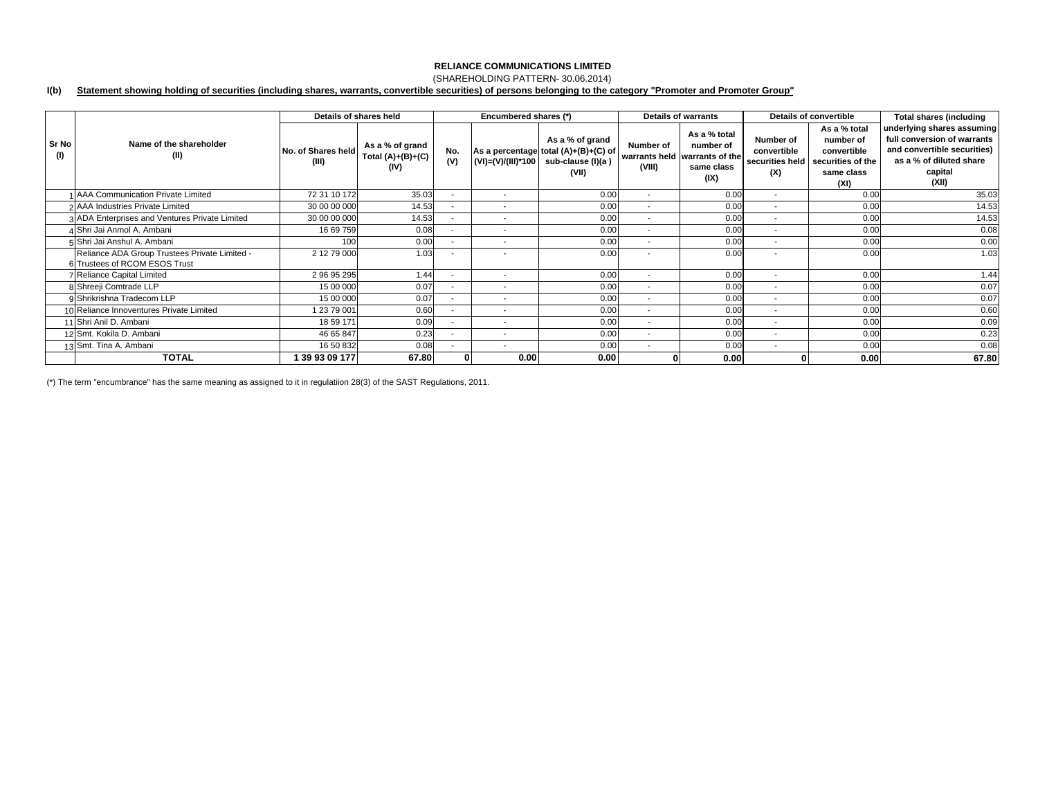## (SHAREHOLDING PATTERN- 30.06.2014)

#### **I(b) Statement showing holding of securities (including shares, warrants, convertible securities) of persons belonging to the category "Promoter and Promoter Group"**

|              |                                                                                | Details of shares held      |                                                |                          | Encumbered shares (*)    |                                                                                       | <b>Details of warrants</b> |                                                                                  | Details of convertible                             |                                                                                     | <b>Total shares (including</b>                                                                                                          |
|--------------|--------------------------------------------------------------------------------|-----------------------------|------------------------------------------------|--------------------------|--------------------------|---------------------------------------------------------------------------------------|----------------------------|----------------------------------------------------------------------------------|----------------------------------------------------|-------------------------------------------------------------------------------------|-----------------------------------------------------------------------------------------------------------------------------------------|
| Sr No<br>(1) | Name of the shareholder<br>(II)                                                | No. of Shares held<br>(III) | As a % of grand<br>Total $(A)+(B)+(C)$<br>(IV) | No.<br>(V)               | (VI)=(V)/(III)*100       | As a % of grand<br>As a percentage total (A)+(B)+(C) of<br>sub-clause (I)(a)<br>(VII) | Number of<br>(VIII)        | As a % total<br>number of<br>warrants held warrants of the<br>same class<br>(IX) | Number of<br>convertible<br>securities held<br>(X) | As a % total<br>number of<br>convertible<br>securities of the<br>same class<br>(XI) | underlying shares assuming<br>full conversion of warrants<br>and convertible securities)<br>as a % of diluted share<br>capital<br>(XII) |
|              | 1 AAA Communication Private Limited                                            | 72 31 10 172                | 35.03                                          |                          | $\overline{\phantom{a}}$ | 0.00                                                                                  | $\overline{\phantom{a}}$   | 0.00                                                                             | $\overline{\phantom{a}}$                           | 0.00                                                                                | 35.03                                                                                                                                   |
|              | 2 AAA Industries Private Limited                                               | 30 00 00 000                | 14.53                                          |                          | $\overline{\phantom{a}}$ | 0.00                                                                                  | $\overline{\phantom{a}}$   | 0.00                                                                             | ٠                                                  | 0.00                                                                                | 14.53                                                                                                                                   |
|              | 3 ADA Enterprises and Ventures Private Limited                                 | 30 00 00 000                | 14.53                                          | $\sim$                   | $\overline{\phantom{a}}$ | 0.00                                                                                  | $\sim$                     | 0.00                                                                             | $\overline{\phantom{a}}$                           | 0.00                                                                                | 14.53                                                                                                                                   |
|              | 4 Shri Jai Anmol A. Ambani                                                     | 16 69 759                   | 0.08                                           |                          | $\overline{\phantom{a}}$ | 0.00                                                                                  | $\sim$                     | 0.00                                                                             | $\overline{\phantom{a}}$                           | 0.00                                                                                | 0.08                                                                                                                                    |
|              | 5 Shri Jai Anshul A. Ambani                                                    | 100                         | 0.00                                           |                          |                          | 0.00                                                                                  |                            | 0.00                                                                             | ٠                                                  | 0.00                                                                                | 0.00                                                                                                                                    |
|              | Reliance ADA Group Trustees Private Limited -<br>6 Trustees of RCOM ESOS Trust | 2 12 79 000                 | 1.03                                           |                          | $\overline{\phantom{a}}$ | 0.00                                                                                  |                            | 0.00                                                                             | $\overline{\phantom{a}}$                           | 0.00                                                                                | 1.03                                                                                                                                    |
|              | <b>Reliance Capital Limited</b>                                                | 2 96 95 295                 | 1.44                                           |                          | $\overline{\phantom{a}}$ | 0.00                                                                                  | $\overline{\phantom{a}}$   | 0.00                                                                             | $\overline{\phantom{a}}$                           | 0.00                                                                                | 1.44                                                                                                                                    |
|              | 8 Shreeji Comtrade LLP                                                         | 15 00 000                   | 0.07                                           |                          | $\overline{\phantom{a}}$ | 0.00                                                                                  | $\overline{\phantom{a}}$   | 0.00                                                                             | $\overline{\phantom{a}}$                           | 0.00                                                                                | 0.07                                                                                                                                    |
|              | 9 Shrikrishna Tradecom LLP                                                     | 15 00 000                   | 0.07                                           |                          | $\overline{\phantom{a}}$ | 0.00                                                                                  | $\overline{\phantom{a}}$   | 0.00                                                                             | $\overline{\phantom{a}}$                           | 0.00                                                                                | 0.07                                                                                                                                    |
|              | 10 Reliance Innoventures Private Limited                                       | 1 23 79 001                 | 0.60                                           | ۰.                       | $\overline{\phantom{a}}$ | 0.00                                                                                  | $\sim$                     | 0.00                                                                             | $\overline{\phantom{a}}$                           | 0.00                                                                                | 0.60                                                                                                                                    |
|              | 11 Shri Anil D. Ambani                                                         | 18 59 171                   | 0.09                                           | $\overline{\phantom{a}}$ | $\overline{\phantom{a}}$ | 0.00                                                                                  | $\sim$                     | 0.00                                                                             | $\overline{\phantom{a}}$                           | 0.00                                                                                | 0.09                                                                                                                                    |
|              | 12 Smt. Kokila D. Ambani                                                       | 46 65 847                   | 0.23                                           |                          | $\overline{\phantom{a}}$ | 0.00                                                                                  | $\overline{\phantom{a}}$   | 0.00                                                                             | $\overline{\phantom{a}}$                           | 0.00                                                                                | 0.23                                                                                                                                    |
|              | 13 Smt. Tina A. Ambani                                                         | 16 50 832                   | 0.08                                           |                          | $\overline{\phantom{a}}$ | 0.00                                                                                  | $\overline{\phantom{a}}$   | 0.00                                                                             | $\overline{\phantom{a}}$                           | 0.00                                                                                | 0.08                                                                                                                                    |
|              | <b>TOTAL</b>                                                                   | 39 93 09 177                | 67.80                                          |                          | 0.00                     | 0.00                                                                                  |                            | 0.00                                                                             |                                                    | 0.00                                                                                | 67.80                                                                                                                                   |

(\*) The term "encumbrance" has the same meaning as assigned to it in regulatiion 28(3) of the SAST Regulations, 2011.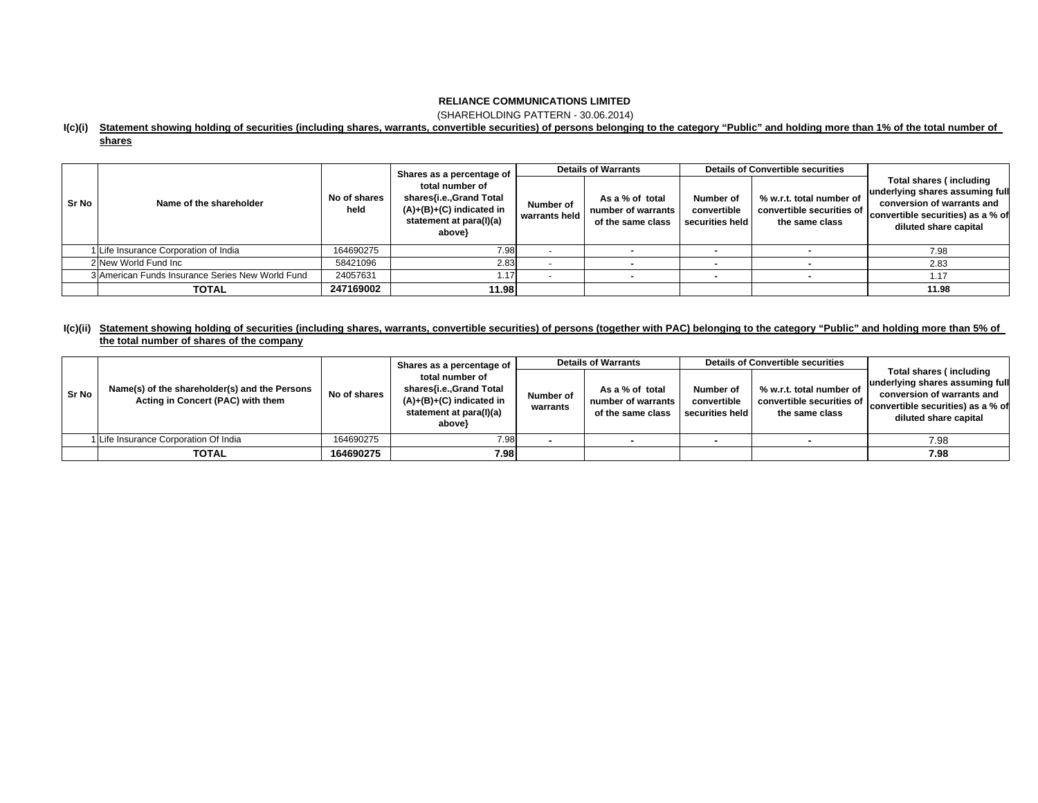(SHAREHOLDING PATTERN - 30.06.2014)

#### **I(c)(i) Statement showing holding of securities (including shares, warrants, convertible securities) of persons belonging to the category "Public" and holding more than 1% of the total number of**

**shares**

|       |                                                  |                      | Shares as a percentage of<br>total number of<br>shares{i.e.,Grand Total<br>$(A)+(B)+(C)$ indicated in<br>statement at para(I)(a)<br>above} | <b>Details of Warrants</b> |                                                            | <b>Details of Convertible securities</b>    |                                                                         |                                                                                                                                                        |  |
|-------|--------------------------------------------------|----------------------|--------------------------------------------------------------------------------------------------------------------------------------------|----------------------------|------------------------------------------------------------|---------------------------------------------|-------------------------------------------------------------------------|--------------------------------------------------------------------------------------------------------------------------------------------------------|--|
| Sr No | Name of the shareholder                          | No of shares<br>held |                                                                                                                                            | Number of<br>warrants held | As a % of total<br>number of warrants<br>of the same class | Number of<br>convertible<br>securities held | % w.r.t. total number of<br>convertible securities of<br>the same class | Total shares (including<br>underlying shares assuming full<br>conversion of warrants and<br>convertible securities) as a % of<br>diluted share capital |  |
|       | 1 Life Insurance Corporation of India            | 164690275            | 7.98                                                                                                                                       |                            |                                                            |                                             |                                                                         | 7.98                                                                                                                                                   |  |
|       | 2 New World Fund Inc                             | 58421096             | 2.83                                                                                                                                       |                            |                                                            |                                             |                                                                         | 2.83                                                                                                                                                   |  |
|       | 3 American Funds Insurance Series New World Fund | 24057631             | 1.17                                                                                                                                       |                            |                                                            |                                             |                                                                         | 1.17                                                                                                                                                   |  |
|       | <b>TOTAL</b>                                     | 247169002            | 11.98                                                                                                                                      |                            |                                                            |                                             |                                                                         | 11.98                                                                                                                                                  |  |

### **I(c)(ii) Statement showing holding of securities (including shares, warrants, convertible securities) of persons (together with PAC) belonging to the category "Public" and holding more than 5% of the total number of shares of the company**

|         |                                                                                    |              | Shares as a percentage of                                                                                      |                       | <b>Details of Warrants</b>                                 |                                             | <b>Details of Convertible securities</b>                                |                                                                                                                                                        |  |
|---------|------------------------------------------------------------------------------------|--------------|----------------------------------------------------------------------------------------------------------------|-----------------------|------------------------------------------------------------|---------------------------------------------|-------------------------------------------------------------------------|--------------------------------------------------------------------------------------------------------------------------------------------------------|--|
| l Sr No | Name(s) of the shareholder(s) and the Persons<br>Acting in Concert (PAC) with them | No of shares | total number of<br>shares{i.e., Grand Total<br>$(A)+(B)+(C)$ indicated in<br>statement at para(I)(a)<br>above} | Number of<br>warrants | As a % of total<br>number of warrants<br>of the same class | Number of<br>convertible<br>securities held | % w.r.t. total number of<br>convertible securities of<br>the same class | Total shares (including<br>underlying shares assuming full<br>conversion of warrants and<br>convertible securities) as a % of<br>diluted share capital |  |
|         | 1 Life Insurance Corporation Of India                                              | 164690275    | 7.98                                                                                                           |                       |                                                            |                                             |                                                                         | 7.98                                                                                                                                                   |  |
|         | <b>TOTAL</b>                                                                       | 164690275    | 7.98                                                                                                           |                       |                                                            |                                             |                                                                         | 7.98                                                                                                                                                   |  |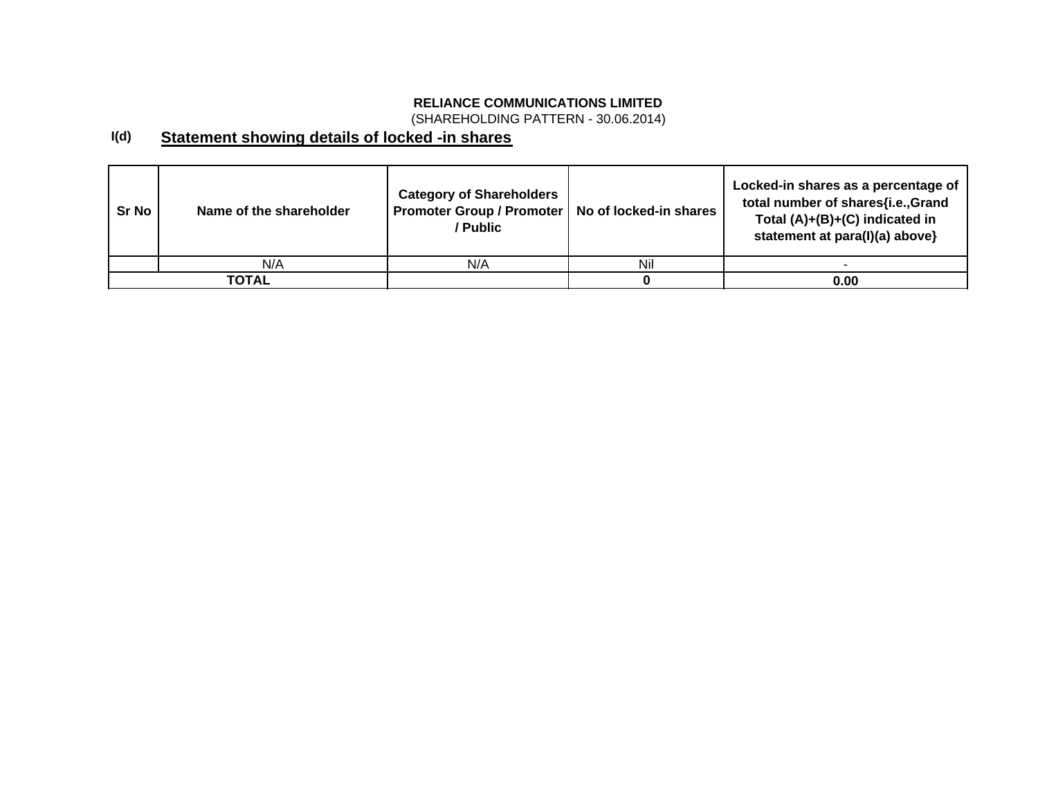(SHAREHOLDING PATTERN - 30.06.2014)

#### **I(d) Statement showing details of locked -in shares**

| Sr No | Name of the shareholder | <b>Category of Shareholders</b><br><b>Promoter Group / Promoter</b><br>/ Public | No of locked-in shares | Locked-in shares as a percentage of<br>total number of shares{i.e.,Grand<br>Total $(A)+(B)+(C)$ indicated in<br>statement at para(I)(a) above} |
|-------|-------------------------|---------------------------------------------------------------------------------|------------------------|------------------------------------------------------------------------------------------------------------------------------------------------|
|       | N/A                     | N/A                                                                             | Nil                    |                                                                                                                                                |
|       | <b>TOTAL</b>            |                                                                                 |                        | 0.00                                                                                                                                           |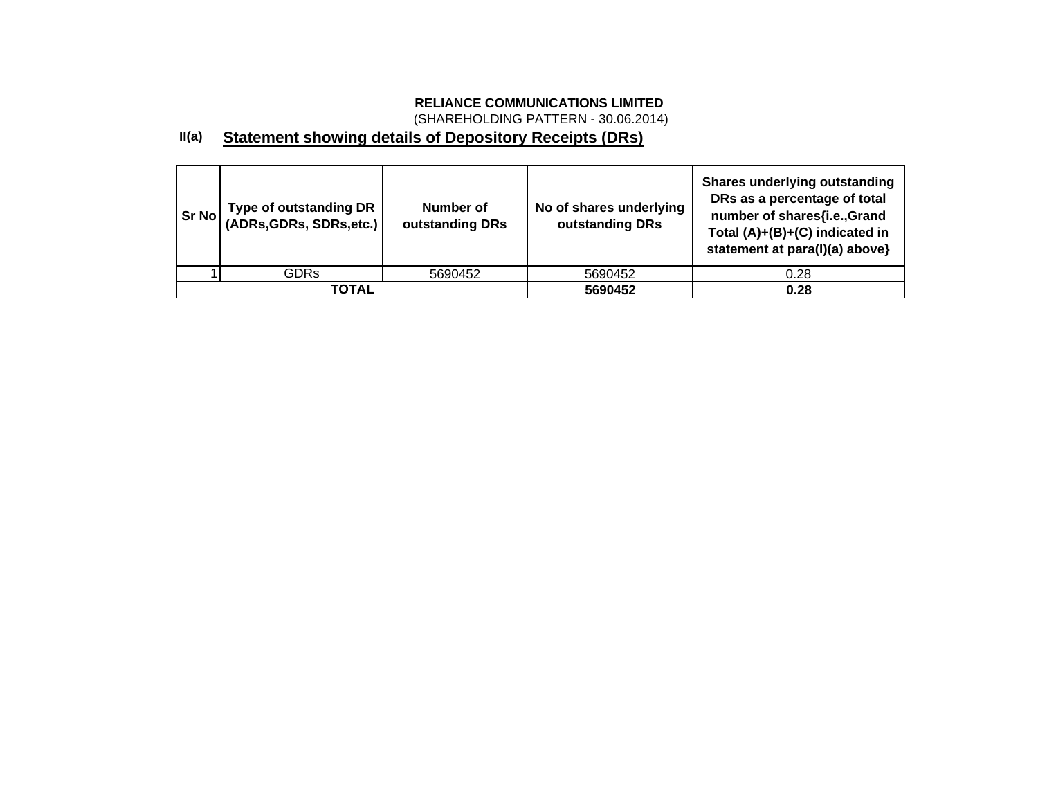(SHAREHOLDING PATTERN - 30.06.2014)

#### **II(a) Statement showing details of Depository Receipts (DRs)**

| Sr No | Type of outstanding DR  <br>  (ADRs,GDRs, SDRs,etc.) | Number of<br>outstanding DRs | No of shares underlying<br>outstanding DRs | <b>Shares underlying outstanding</b><br>DRs as a percentage of total<br>number of shares{i.e.,Grand<br>Total (A)+(B)+(C) indicated in<br>statement at para(I)(a) above} |
|-------|------------------------------------------------------|------------------------------|--------------------------------------------|-------------------------------------------------------------------------------------------------------------------------------------------------------------------------|
|       | GDRs                                                 | 5690452                      | 5690452                                    | 0.28                                                                                                                                                                    |
|       | TOTAL                                                |                              | 5690452                                    | 0.28                                                                                                                                                                    |